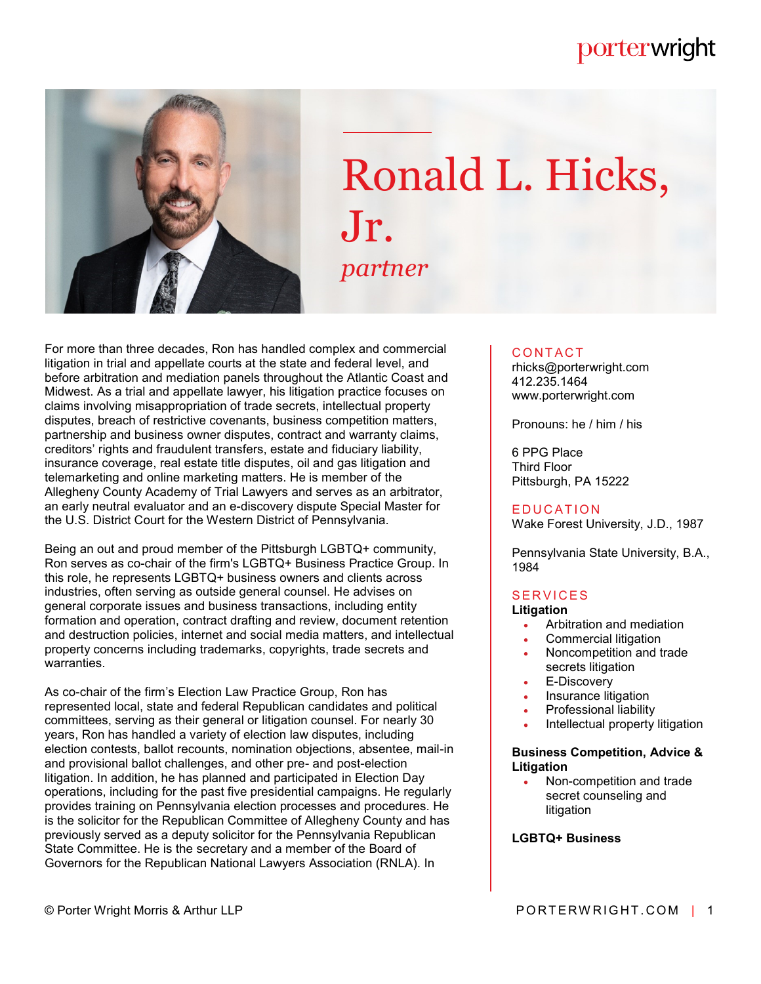# porterwright



# Ronald L. Hicks, Jr. *partner*

For more than three decades, Ron has handled complex and commercial litigation in trial and appellate courts at the state and federal level, and before arbitration and mediation panels throughout the Atlantic Coast and Midwest. As a trial and appellate lawyer, his litigation practice focuses on claims involving misappropriation of trade secrets, intellectual property disputes, breach of restrictive covenants, business competition matters, partnership and business owner disputes, contract and warranty claims, creditors' rights and fraudulent transfers, estate and fiduciary liability, insurance coverage, real estate title disputes, oil and gas litigation and telemarketing and online marketing matters. He is member of the Allegheny County Academy of Trial Lawyers and serves as an arbitrator, an early neutral evaluator and an e-discovery dispute Special Master for the U.S. District Court for the Western District of Pennsylvania.

Being an out and proud member of the Pittsburgh LGBTQ+ community, Ron serves as co-chair of the firm's LGBTQ+ Business Practice Group. In this role, he represents LGBTQ+ business owners and clients across industries, often serving as outside general counsel. He advises on general corporate issues and business transactions, including entity formation and operation, contract drafting and review, document retention and destruction policies, internet and social media matters, and intellectual property concerns including trademarks, copyrights, trade secrets and warranties.

As co-chair of the firm's Election Law Practice Group, Ron has represented local, state and federal Republican candidates and political committees, serving as their general or litigation counsel. For nearly 30 years, Ron has handled a variety of election law disputes, including election contests, ballot recounts, nomination objections, absentee, mail-in and provisional ballot challenges, and other pre- and post-election litigation. In addition, he has planned and participated in Election Day operations, including for the past five presidential campaigns. He regularly provides training on Pennsylvania election processes and procedures. He is the solicitor for the Republican Committee of Allegheny County and has previously served as a deputy solicitor for the Pennsylvania Republican State Committee. He is the secretary and a member of the Board of Governors for the Republican National Lawyers Association (RNLA). In

# **CONTACT**

rhicks@porterwright.com 412.235.1464 www.porterwright.com

Pronouns: he / him / his

6 PPG Place Third Floor Pittsburgh, PA 15222

#### **EDUCATION**

Wake Forest University, J.D., 1987

Pennsylvania State University, B.A., 1984

# **SERVICES**

# **Litigation**

- Arbitration and mediation
- Commercial litigation
- Noncompetition and trade secrets litigation
- E-Discovery
- Insurance litigation
- Professional liability
- Intellectual property litigation

#### **Business Competition, Advice & Litigation**

 Non-competition and trade secret counseling and litigation

#### **LGBTQ+ Business**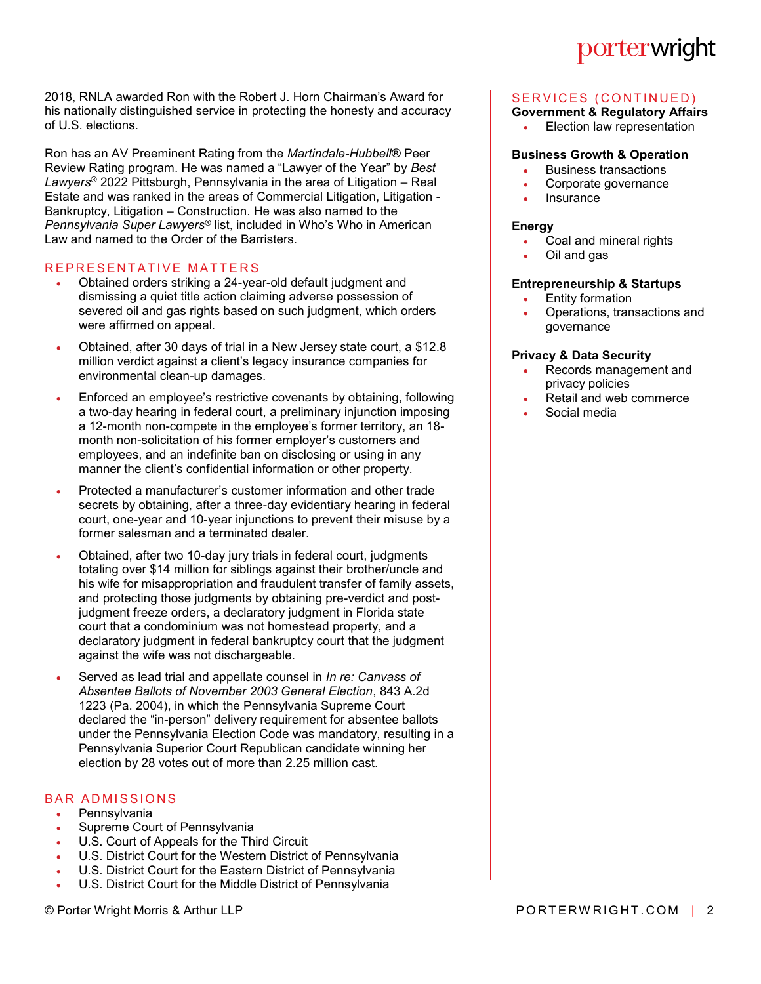2018, RNLA awarded Ron with the Robert J. Horn Chairman's Award for his nationally distinguished service in protecting the honesty and accuracy of U.S. elections.

Ron has an AV Preeminent Rating from the *Martindale-Hubbell®* Peer Review Rating program. He was named a "Lawyer of the Year" by *Best Lawyers*® 2022 Pittsburgh, Pennsylvania in the area of Litigation – Real Estate and was ranked in the areas of Commercial Litigation, Litigation - Bankruptcy, Litigation – Construction. He was also named to the *Pennsylvania Super Lawyers*® list, included in Who's Who in American Law and named to the Order of the Barristers.

# REPRESENTATIVE MATTERS

- Obtained orders striking a 24-year-old default judgment and dismissing a quiet title action claiming adverse possession of severed oil and gas rights based on such judgment, which orders were affirmed on appeal.
- Obtained, after 30 days of trial in a New Jersey state court, a \$12.8 million verdict against a client's legacy insurance companies for environmental clean-up damages.
- Enforced an employee's restrictive covenants by obtaining, following a two-day hearing in federal court, a preliminary injunction imposing a 12-month non-compete in the employee's former territory, an 18 month non-solicitation of his former employer's customers and employees, and an indefinite ban on disclosing or using in any manner the client's confidential information or other property.
- Protected a manufacturer's customer information and other trade secrets by obtaining, after a three-day evidentiary hearing in federal court, one-year and 10-year injunctions to prevent their misuse by a former salesman and a terminated dealer.
- Obtained, after two 10-day jury trials in federal court, judgments totaling over \$14 million for siblings against their brother/uncle and his wife for misappropriation and fraudulent transfer of family assets, and protecting those judgments by obtaining pre-verdict and postjudgment freeze orders, a declaratory judgment in Florida state court that a condominium was not homestead property, and a declaratory judgment in federal bankruptcy court that the judgment against the wife was not dischargeable.
- Served as lead trial and appellate counsel in *In re: Canvass of Absentee Ballots of November 2003 General Election*, 843 A.2d 1223 (Pa. 2004), in which the Pennsylvania Supreme Court declared the "in-person" delivery requirement for absentee ballots under the Pennsylvania Election Code was mandatory, resulting in a Pennsylvania Superior Court Republican candidate winning her election by 28 votes out of more than 2.25 million cast.

# **BAR ADMISSIONS**

# Pennsylvania

- Supreme Court of Pennsylvania
- U.S. Court of Appeals for the Third Circuit
- U.S. District Court for the Western District of Pennsylvania
- U.S. District Court for the Eastern District of Pennsylvania
- U.S. District Court for the Middle District of Pennsylvania

# porterwright

# SERVICES (CONTINUED)

# **Government & Regulatory Affairs**

Election law representation

# **Business Growth & Operation**

- Business transactions
- Corporate governance
- Insurance

#### **Energy**

- Coal and mineral rights
- Oil and gas

# **Entrepreneurship & Startups**

- Entity formation
- Operations, transactions and governance

# **Privacy & Data Security**

- Records management and privacy policies
- Retail and web commerce
- Social media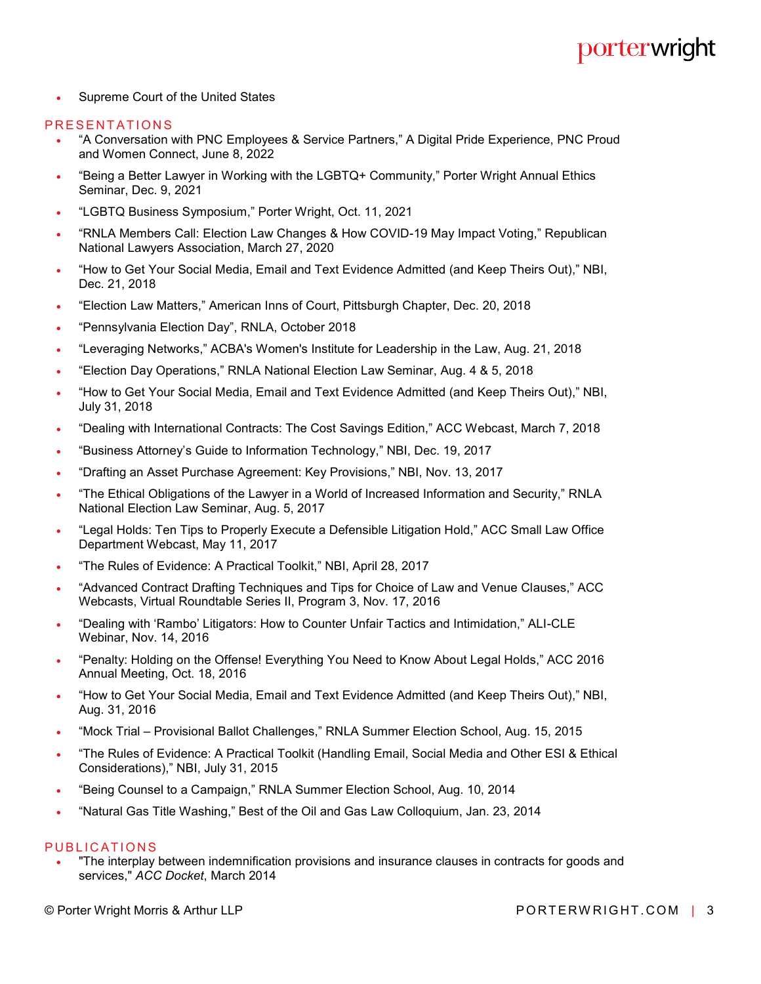**Supreme Court of the United States** 

#### PRESENTATIONS

- "A Conversation with PNC Employees & Service Partners," A Digital Pride Experience, PNC Proud and Women Connect, June 8, 2022
- "Being a Better Lawyer in Working with the LGBTQ+ Community," Porter Wright Annual Ethics Seminar, Dec. 9, 2021
- "LGBTQ Business Symposium," Porter Wright, Oct. 11, 2021
- "RNLA Members Call: Election Law Changes & How COVID-19 May Impact Voting," Republican National Lawyers Association, March 27, 2020
- "How to Get Your Social Media, Email and Text Evidence Admitted (and Keep Theirs Out)," NBI, Dec. 21, 2018
- "Election Law Matters," American Inns of Court, Pittsburgh Chapter, Dec. 20, 2018
- "Pennsylvania Election Day", RNLA, October 2018
- "Leveraging Networks," ACBA's Women's Institute for Leadership in the Law, Aug. 21, 2018
- "Election Day Operations," RNLA National Election Law Seminar, Aug. 4 & 5, 2018
- "How to Get Your Social Media, Email and Text Evidence Admitted (and Keep Theirs Out)," NBI, July 31, 2018
- "Dealing with International Contracts: The Cost Savings Edition," ACC Webcast, March 7, 2018
- "Business Attorney's Guide to Information Technology," NBI, Dec. 19, 2017
- "Drafting an Asset Purchase Agreement: Key Provisions," NBI, Nov. 13, 2017
- "The Ethical Obligations of the Lawyer in a World of Increased Information and Security," RNLA National Election Law Seminar, Aug. 5, 2017
- "Legal Holds: Ten Tips to Properly Execute a Defensible Litigation Hold," ACC Small Law Office Department Webcast, May 11, 2017
- "The Rules of Evidence: A Practical Toolkit," NBI, April 28, 2017
- "Advanced Contract Drafting Techniques and Tips for Choice of Law and Venue Clauses," ACC Webcasts, Virtual Roundtable Series II, Program 3, Nov. 17, 2016
- "Dealing with 'Rambo' Litigators: How to Counter Unfair Tactics and Intimidation," ALI-CLE Webinar, Nov. 14, 2016
- "Penalty: Holding on the Offense! Everything You Need to Know About Legal Holds," ACC 2016 Annual Meeting, Oct. 18, 2016
- "How to Get Your Social Media, Email and Text Evidence Admitted (and Keep Theirs Out)," NBI, Aug. 31, 2016
- "Mock Trial Provisional Ballot Challenges," RNLA Summer Election School, Aug. 15, 2015
- "The Rules of Evidence: A Practical Toolkit (Handling Email, Social Media and Other ESI & Ethical Considerations)," NBI, July 31, 2015
- "Being Counsel to a Campaign," RNLA Summer Election School, Aug. 10, 2014
- "Natural Gas Title Washing," Best of the Oil and Gas Law Colloquium, Jan. 23, 2014

#### PUBLICATIONS

 "The interplay between indemnification provisions and insurance clauses in contracts for goods and services," *ACC Docket*, March 2014